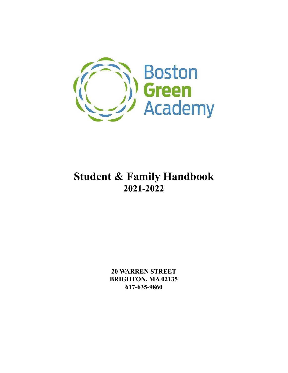

# **Student & Family Handbook 2021-2022**

**20 WARREN STREET BRIGHTON, MA 02135 617-635-9860**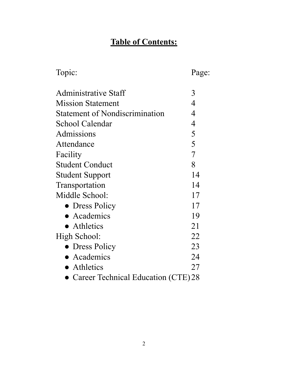# **Table of Contents:**

| Topic:                                | Page: |
|---------------------------------------|-------|
| Administrative Staff                  | 3     |
| <b>Mission Statement</b>              | 4     |
| <b>Statement of Nondiscrimination</b> | 4     |
| School Calendar                       | 4     |
| Admissions                            | 5     |
| Attendance                            | 5     |
| Facility                              | 7     |
| <b>Student Conduct</b>                | 8     |
| <b>Student Support</b>                | 14    |
| Transportation                        | 14    |
| Middle School:                        | 17    |
| • Dress Policy                        | 17    |
| $\bullet$ Academics                   | 19    |
| $\bullet$ Athletics                   | 21    |
| High School:                          | 22    |
| • Dress Policy                        | 23    |
| • Academics                           | 24    |
| • Athletics                           | 27    |
| Career Technical Education (CTE) 28   |       |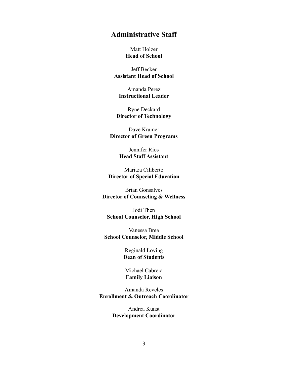# **Administrative Staff**

Matt Holzer **Head of School**

Jeff Becker **Assistant Head of School**

Amanda Perez **Instructional Leader**

Ryne Deckard **Director of Technology**

Dave Kramer **Director of Green Programs**

> Jennifer Rios **Head Staff Assistant**

Maritza Ciliberto **Director of Special Education**

Brian Gonsalves **Director of Counseling & Wellness**

Jodi Then **School Counselor, High School**

Vanessa Brea **School Counselor, Middle School**

> Reginald Loving **Dean of Students**

Michael Cabrera **Family Liaison**

Amanda Reveles **Enrollment & Outreach Coordinator**

> Andrea Kunst **Development Coordinator**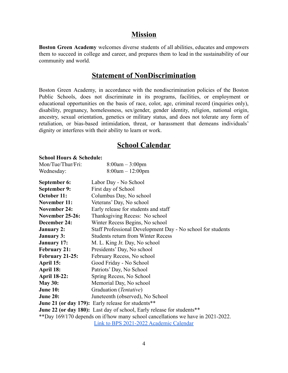# **Mission**

**Boston Green Academy** welcomes diverse students of all abilities, educates and empowers them to succeed in college and career, and prepares them to lead in the sustainability of our community and world.

# **Statement of NonDiscrimination**

Boston Green Academy, in accordance with the nondiscrimination policies of the Boston Public Schools, does not discriminate in its programs, facilities, or employment or educational opportunities on the basis of race, color, age, criminal record (inquiries only), disability, pregnancy, homelessness, sex/gender, gender identity, religion, national origin, ancestry, sexual orientation, genetics or military status, and does not tolerate any form of retaliation, or bias-based intimidation, threat, or harassment that demeans individuals' dignity or interferes with their ability to learn or work.

# **School Calendar**

#### **School Hours & Schedule:**

| Mon/Tue/Thur/Fri:            | $8:00am - 3:00pm$                            |  |
|------------------------------|----------------------------------------------|--|
| Wednesday:                   | $8:00am - 12:00pm$                           |  |
| September 6:<br>September 9: | Labor Day - No School<br>First day of School |  |

| september 9:                                                                    | FILST GAY OF SCHOOL                                                           |  |
|---------------------------------------------------------------------------------|-------------------------------------------------------------------------------|--|
| October 11:                                                                     | Columbus Day, No school                                                       |  |
| <b>November 11:</b>                                                             | Veterans' Day, No school                                                      |  |
| <b>November 24:</b>                                                             | Early release for students and staff                                          |  |
| <b>November 25-26:</b>                                                          | Thanksgiving Recess: No school                                                |  |
| December 24:                                                                    | Winter Recess Begins, No school                                               |  |
| <b>January 2:</b>                                                               | Staff Professional Development Day - No school for students                   |  |
| <b>January 3:</b>                                                               | <b>Students return from Winter Recess</b>                                     |  |
| <b>January 17:</b>                                                              | M. L. King Jr. Day, No school                                                 |  |
| <b>February 21:</b>                                                             | Presidents' Day, No school                                                    |  |
| February 21-25:                                                                 | February Recess, No school                                                    |  |
| April 15:                                                                       | Good Friday - No School                                                       |  |
| April 18:                                                                       | Patriots' Day, No School                                                      |  |
| <b>April 18-22:</b>                                                             | Spring Recess, No School                                                      |  |
| <b>May 30:</b>                                                                  | Memorial Day, No school                                                       |  |
| <b>June 10:</b>                                                                 | Graduation (Tentative)                                                        |  |
| <b>June 20:</b>                                                                 | Juneteenth (observed), No School                                              |  |
|                                                                                 | June 21 (or day 179): Early release for students**                            |  |
|                                                                                 | <b>June 22 (or day 180):</b> Last day of school, Early release for students** |  |
| **Day 169/170 depends on if/how many school cancellations we have in 2021-2022. |                                                                               |  |

[Link to BPS 2021-2022 Academic Calendar](https://www.bostonpublicschools.org/cms/lib/MA01906464/Centricity/Domain/4/BPS%20Cal%20SY22_FINAL.pdf)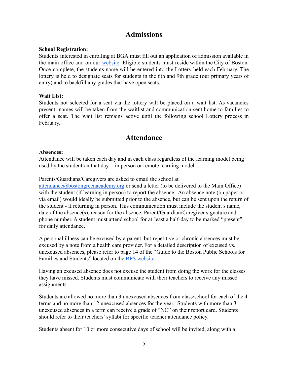# **Admissions**

#### **School Registration:**

Students interested in enrolling at BGA must fill out an application of admission available in the main office and on our [website.](https://www.bostongreenacademy.org/apply) Eligible students must reside within the City of Boston. Once complete, the students name will be entered into the Lottery held each February. The lottery is held to designate seats for students in the 6th and 9th grade (our primary years of entry) and to backfill any grades that have open seats.

#### **Wait List:**

Students not selected for a seat via the lottery will be placed on a wait list. As vacancies present, names will be taken from the waitlist and communication sent home to families to offer a seat. The wait list remains active until the following school Lottery process in February.

# **Attendance**

#### **Absences:**

Attendance will be taken each day and in each class regardless of the learning model being used by the student on that day - in person or remote learning model.

#### Parents/Guardians/Caregivers are asked to email the school at

[attendance@bostongreenacademy.org](mailto:attendance@bostongreenacademy.org) or send a letter (to be delivered to the Main Office) with the student (if learning in person) to report the absence. An absence note (on paper or via email) would ideally be submitted prior to the absence, but can be sent upon the return of the student - if returning in person. This communication must include the student's name, date of the absence(s), reason for the absence, Parent/Guardian/Caregiver signature and phone number. A student must attend school for at least a half-day to be marked "present" for daily attendance.

A personal illness can be excused by a parent, but repetitive or chronic absences must be excused by a note from a health care provider. For a detailed description of excused vs. unexcused absences, please refer to page 14 of the "Guide to the Boston Public Schools for Families and Students" located on the [BPS website](https://www.bostonpublicschools.org/familyguide).

Having an excused absence does not excuse the student from doing the work for the classes they have missed. Students must communicate with their teachers to receive any missed assignments.

Students are allowed no more than 3 unexcused absences from class/school for each of the 4 terms and no more than 12 unexcused absences for the year. Students with more than 3 unexcused absences in a term can receive a grade of "NC" on their report card. Students should refer to their teachers' syllabi for specific teacher attendance policy.

Students absent for 10 or more consecutive days of school will be invited, along with a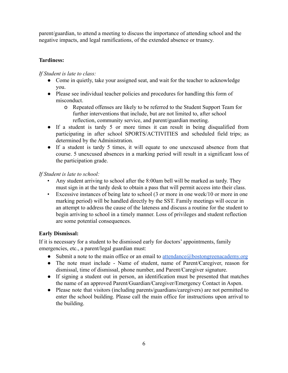parent/guardian, to attend a meeting to discuss the importance of attending school and the negative impacts, and legal ramifications, of the extended absence or truancy.

# **Tardiness:**

# *If Student is late to class:*

- Come in quietly, take your assigned seat, and wait for the teacher to acknowledge you.
- Please see individual teacher policies and procedures for handling this form of misconduct.
	- o Repeated offenses are likely to be referred to the Student Support Team for further interventions that include, but are not limited to, after school reflection, community service, and parent/guardian meeting.
- If a student is tardy 5 or more times it can result in being disqualified from participating in after school SPORTS/ACTIVITIES and scheduled field trips; as determined by the Administration.
- If a student is tardy 5 times, it will equate to one unexcused absence from that course. 5 unexcused absences in a marking period will result in a significant loss of the participation grade.

*If Student is late to school:*

- Any student arriving to school after the 8:00am bell will be marked as tardy. They must sign in at the tardy desk to obtain a pass that will permit access into their class.
- Excessive instances of being late to school (3 or more in one week/10 or more in one marking period) will be handled directly by the SST. Family meetings will occur in an attempt to address the cause of the lateness and discuss a routine for the student to begin arriving to school in a timely manner. Loss of privileges and student reflection are some potential consequences.

# **Early Dismissal:**

If it is necessary for a student to be dismissed early for doctors' appointments, family emergencies, etc., a parent/legal guardian must:

- Submit a note to the main office or an email to [attendance@bostongreenacademy.org](mailto:attendance@bostongreenacademy.org)
- The note must include Name of student, name of Parent/Caregiver, reason for dismissal, time of dismissal, phone number, and Parent/Caregiver signature.
- If signing a student out in person, an identification must be presented that matches the name of an approved Parent/Guardian/Caregiver/Emergency Contact in Aspen.
- Please note that visitors (including parents/guardians/caregivers) are not permitted to enter the school building. Please call the main office for instructions upon arrival to the building.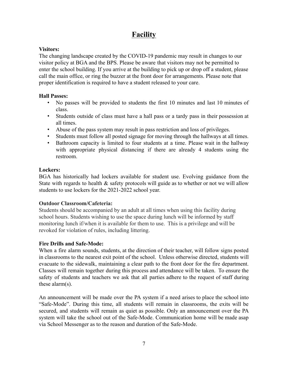# **Facility**

# **Visitors:**

The changing landscape created by the COVID-19 pandemic may result in changes to our visitor policy at BGA and the BPS. Please be aware that visitors may not be permitted to enter the school building. If you arrive at the building to pick up or drop off a student, please call the main office, or ring the buzzer at the front door for arrangements. Please note that proper identification is required to have a student released to your care.

## **Hall Passes:**

- No passes will be provided to students the first 10 minutes and last 10 minutes of class.
- Students outside of class must have a hall pass or a tardy pass in their possession at all times.
- Abuse of the pass system may result in pass restriction and loss of privileges.
- Students must follow all posted signage for moving through the hallways at all times.
- Bathroom capacity is limited to four students at a time. Please wait in the hallway with appropriate physical distancing if there are already 4 students using the restroom.

## **Lockers:**

BGA has historically had lockers available for student use. Evolving guidance from the State with regards to health & safety protocols will guide as to whether or not we will allow students to use lockers for the 2021-2022 school year.

# **Outdoor Classroom/Cafeteria:**

Students should be accompanied by an adult at all times when using this facility during school hours. Students wishing to use the space during lunch will be informed by staff monitoring lunch if/when it is available for them to use. This is a privilege and will be revoked for violation of rules, including littering.

# **Fire Drills and Safe-Mode:**

When a fire alarm sounds, students, at the direction of their teacher, will follow signs posted in classrooms to the nearest exit point of the school. Unless otherwise directed, students will evacuate to the sidewalk, maintaining a clear path to the front door for the fire department. Classes will remain together during this process and attendance will be taken. To ensure the safety of students and teachers we ask that all parties adhere to the request of staff during these alarm(s).

An announcement will be made over the PA system if a need arises to place the school into "Safe-Mode". During this time, all students will remain in classrooms, the exits will be secured, and students will remain as quiet as possible. Only an announcement over the PA system will take the school out of the Safe-Mode. Communication home will be made asap via School Messenger as to the reason and duration of the Safe-Mode.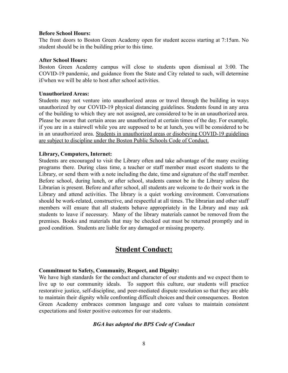#### **Before School Hours:**

The front doors to Boston Green Academy open for student access starting at 7:15am. No student should be in the building prior to this time.

#### **After School Hours:**

Boston Green Academy campus will close to students upon dismissal at 3:00. The COVID-19 pandemic, and guidance from the State and City related to such, will determine if/when we will be able to host after school activities.

#### **Unauthorized Areas:**

Students may not venture into unauthorized areas or travel through the building in ways unauthorized by our COVID-19 physical distancing guidelines. Students found in any area of the building to which they are not assigned, are considered to be in an unauthorized area. Please be aware that certain areas are unauthorized at certain times of the day. For example, if you are in a stairwell while you are supposed to be at lunch, you will be considered to be in an unauthorized area. Students in unauthorized areas or disobeying COVID-19 guidelines are subject to discipline under the Boston Public Schools Code of Conduct.

#### **Library, Computers, Internet:**

Students are encouraged to visit the Library often and take advantage of the many exciting programs there. During class time, a teacher or staff member must escort students to the Library, or send them with a note including the date, time and signature of the staff member. Before school, during lunch, or after school, students cannot be in the Library unless the Librarian is present. Before and after school, all students are welcome to do their work in the Library and attend activities. The library is a quiet working environment. Conversations should be work-related, constructive, and respectful at all times. The librarian and other staff members will ensure that all students behave appropriately in the Library and may ask students to leave if necessary. Many of the library materials cannot be removed from the premises. Books and materials that may be checked out must be returned promptly and in good condition. Students are liable for any damaged or missing property.

# **Student Conduct:**

## **Commitment to Safety, Community, Respect, and Dignity:**

We have high standards for the conduct and character of our students and we expect them to live up to our community ideals. To support this culture, our students will practice restorative justice, self-discipline, and peer-mediated dispute resolution so that they are able to maintain their dignity while confronting difficult choices and their consequences. Boston Green Academy embraces common language and core values to maintain consistent expectations and foster positive outcomes for our students.

## *BGA has adopted the BPS Code of Conduct*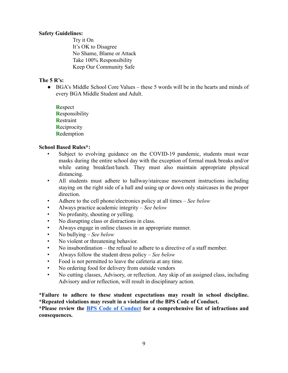#### **Safety Guidelines:**

Try it On It's OK to Disagree No Shame, Blame or Attack Take 100% Responsibility Keep Our Community Safe

#### **The 5 R's:**

● BGA's Middle School Core Values – these 5 words will be in the hearts and minds of every BGA Middle Student and Adult.

**R**espect **R**esponsibility **R**estraint **R**eciprocity **R**edemption

#### **School Based Rules\*:**

- Subject to evolving guidance on the COVID-19 pandemic, students must wear masks during the entire school day with the exception of formal mask breaks and/or while eating breakfast/lunch. They must also maintain appropriate physical distancing.
- All students must adhere to hallway/staircase movement instructions including staying on the right side of a hall and using up or down only staircases in the proper direction.
- Adhere to the cell phone/electronics policy at all times *See below*
- Always practice academic integrity *See below*
- No profanity, shouting or yelling.
- No disrupting class or distractions in class.
- Always engage in online classes in an appropriate manner.
- No bullying *See below*
- *•* No violent or threatening behavior.
- No insubordination the refusal to adhere to a directive of a staff member.
- Always follow the student dress policy *See below*
- Food is not permitted to leave the cafeteria at any time.
- No ordering food for delivery from outside vendors
- No cutting classes, Advisory, or reflection. Any skip of an assigned class, including Advisory and/or reflection, will result in disciplinary action.

#### **\*Failure to adhere to these student expectations may result in school discipline. \*Repeated violations may result in a violation of the BPS Code of Conduct.**

**\*Please review the BPS Code of [Conduct](https://www.bostonpublicschools.org/site/Default.aspx?PageID=688) for a comprehensive list of infractions and consequences.**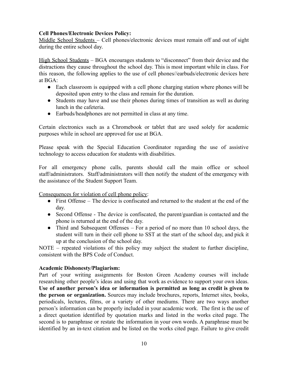## **Cell Phones/Electronic Devices Policy:**

Middle School Students – Cell phones/electronic devices must remain off and out of sight during the entire school day.

High School Students – BGA encourages students to "disconnect" from their device and the distractions they cause throughout the school day. This is most important while in class. For this reason, the following applies to the use of cell phones//earbuds/electronic devices here at BGA:

- Each classroom is equipped with a cell phone charging station where phones will be deposited upon entry to the class and remain for the duration.
- Students may have and use their phones during times of transition as well as during lunch in the cafeteria.
- Earbuds/headphones are not permitted in class at any time.

Certain electronics such as a Chromebook or tablet that are used solely for academic purposes while in school are approved for use at BGA.

Please speak with the Special Education Coordinator regarding the use of assistive technology to access education for students with disabilities.

For all emergency phone calls, parents should call the main office or school staff/administrators. Staff/administrators will then notify the student of the emergency with the assistance of the Student Support Team.

Consequences for violation of cell phone policy:

- First Offense The device is confiscated and returned to the student at the end of the day.
- Second Offense The device is confiscated, the parent/guardian is contacted and the phone is returned at the end of the day.
- Third and Subsequent Offenses For a period of no more than 10 school days, the student will turn in their cell phone to SST at the start of the school day, and pick it up at the conclusion of the school day.

NOTE – repeated violations of this policy may subject the student to further discipline, consistent with the BPS Code of Conduct.

# **Academic Dishonesty/Plagiarism:**

Part of your writing assignments for Boston Green Academy courses will include researching other people's ideas and using that work as evidence to support your own ideas. **Use of another person's idea or information is permitted as long as credit is given to the person or organization.** Sources may include brochures, reports, Internet sites, books, periodicals, lectures, films, or a variety of other mediums. There are two ways another person's information can be properly included in your academic work. The first is the use of a direct quotation identified by quotation marks and listed in the works cited page. The second is to paraphrase or restate the information in your own words. A paraphrase must be identified by an in-text citation and be listed on the works cited page. Failure to give credit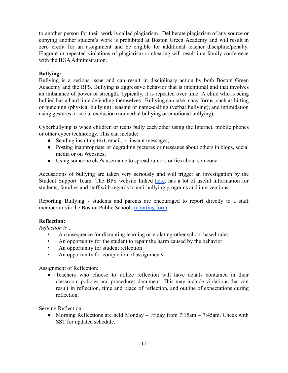to another person for their work is called plagiarism. Deliberate plagiarism of any source or copying another student's work is prohibited at Boston Green Academy and will result in zero credit for an assignment and be eligible for additional teacher discipline/penalty. Flagrant or repeated violations of plagiarism or cheating will result in a family conference with the BGA Administration.

## **Bullying:**

Bullying is a serious issue and can result in disciplinary action by both Boston Green Academy and the BPS. Bullying is aggressive behavior that is intentional and that involves an imbalance of power or strength. Typically, it is repeated over time. A child who is being bullied has a hard time defending themselves. Bullying can take many forms, such as hitting or punching (physical bullying); teasing or name-calling (verbal bullying); and intimidation using gestures or social exclusion (nonverbal bullying or emotional bullying).

Cyberbullying is when children or teens bully each other using the Internet, mobile phones or other cyber technology. This can include:

- Sending insulting text, email, or instant messages;
- Posting inappropriate or degrading pictures or messages about others in blogs, social media or on Websites;
- Using someone else's username to spread rumors or lies about someone.

Accusations of bullying are taken very seriously and will trigger an investigation by the Student Support Team. The BPS website linked [here](https://www.bostonpublicschools.org/antibullying), has a lot of useful information for students, families and staff with regards to anti-bullying programs and interventions.

Reporting Bullying - students and parents are encouraged to report directly to a staff member or via the Boston Public Schools [reporting](https://www.bostonpublicschools.org/antibullying) form.

## **Reflection:**

*Reflection is…*

- A consequence for disrupting learning or violating other school based rules
- An opportunity for the student to repair the harm caused by the behavior
- An opportunity for student reflection
- An opportunity for completion of assignments

Assignment of Reflection:

● Teachers who choose to utilize reflection will have details contained in their classroom policies and procedures document. This may include violations that can result in reflection, time and place of reflection, and outline of expectations during reflection.

Serving Reflection

• Morning Reflections are held Monday – Friday from  $7:15$ am –  $7:45$ am. Check with SST for updated schedule.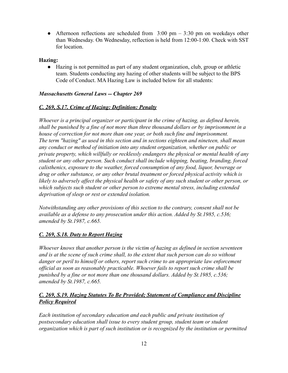• Afternoon reflections are scheduled from  $3:00 \text{ pm} - 3:30 \text{ pm}$  on weekdays other than Wednesday. On Wednesday, reflection is held from 12:00-1:00. Check with SST for location.

## **Hazing:**

● Hazing is not permitted as part of any student organization, club, group or athletic team. Students conducting any hazing of other students will be subject to the BPS Code of Conduct. MA Hazing Law is included below for all students:

## *Massachusetts General Laws -- Chapter 269*

## *C. 269, S.17. Crime of Hazing: Definition: Penalty*

*Whoever is a principal organizer or participant in the crime of hazing, as defined herein, shall be punished by a fine of not more than three thousand dollars or by imprisonment in a house of correction for not more than one year, or both such fine and imprisonment. The term "hazing" as used in this section and in sections eighteen and nineteen, shall mean any conduct or method of initiation into any student organization, whether on public or private property, which willfully or recklessly endangers the physical or mental health of any student or any other person. Such conduct shall include whipping, beating, branding, forced calisthenics, exposure to the weather, forced consumption of any food, liquor, beverage or drug or other substance, or any other brutal treatment or forced physical activity which is likely to adversely affect the physical health or safety of any such student or other person, or which subjects such student or other person to extreme mental stress, including extended deprivation of sleep or rest or extended isolation.*

*Notwithstanding any other provisions of this section to the contrary, consent shall not be available as a defense to any prosecution under this action. Added by St.1985, c.536; amended by St.1987, c.665.*

## *C. 269, S.18. Duty to Report Hazing*

*Whoever knows that another person is the victim of hazing as defined in section seventeen and is at the scene of such crime shall, to the extent that such person can do so without danger or peril to himself or others, report such crime to an appropriate law enforcement official as soon as reasonably practicable. Whoever fails to report such crime shall be punished by a fine or not more than one thousand dollars. Added by St.1985, c.536; amended by St.1987, c.665.*

## *C. 269, S.19. Hazing Statutes To Be Provided; Statement of Compliance and Discipline Policy Required*

*Each institution of secondary education and each public and private institution of postsecondary education shall issue to every student group, student team or student organization which is part of such institution or is recognized by the institution or permitted*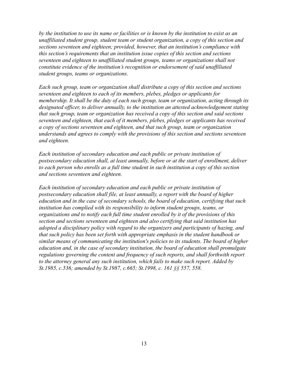*by the institution to use its name or facilities or is known by the institution to exist as an unaffiliated student group, student team or student organization, a copy of this section and sections seventeen and eighteen; provided, however, that an institution's compliance with this section's requirements that an institution issue copies of this section and sections seventeen and eighteen to unaffiliated student groups, teams or organizations shall not constitute evidence of the institution's recognition or endorsement of said unaffiliated student groups, teams or organizations.*

*Each such group, team or organization shall distribute a copy of this section and sections seventeen and eighteen to each of its members, plebes, pledges or applicants for membership. It shall be the duty of each such group, team or organization, acting through its designated officer, to deliver annually, to the institution an attested acknowledgement stating that such group, team or organization has received a copy of this section and said sections seventeen and eighteen, that each of it members, plebes, pledges or applicants has received a copy of sections seventeen and eighteen, and that such group, team or organization understands and agrees to comply with the provisions of this section and sections seventeen and eighteen.*

*Each institution of secondary education and each public or private institution of postsecondary education shall, at least annually, before or at the start of enrollment, deliver to each person who enrolls as a full time student in such institution a copy of this section and sections seventeen and eighteen.*

*Each institution of secondary education and each public or private institution of postsecondary education shall file, at least annually, a report with the board of higher education and in the case of secondary schools, the board of education, certifying that such institution has complied with its responsibility to inform student groups, teams, or organizations and to notify each full time student enrolled by it of the provisions of this section and sections seventeen and eighteen and also certifying that said institution has adopted a disciplinary policy with regard to the organizers and participants of hazing, and that such policy has been set forth with appropriate emphasis in the student handbook or similar means of communicating the institution's policies to its students. The board of higher education and, in the case of secondary institution, the board of education shall promulgate regulations governing the content and frequency of such reports, and shall forthwith report to the attorney general any such institution, which fails to make such report. Added by St.1985, c.536; amended by St.1987, c.665; St.1998, c. 161 §§ 557, 558.*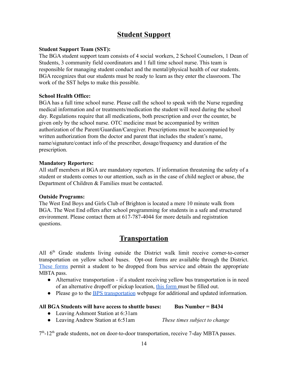# **Student Support**

#### **Student Support Team (SST):**

The BGA student support team consists of 4 social workers, 2 School Counselors, 1 Dean of Students, 3 community field coordinators and 1 full time school nurse. This team is responsible for managing student conduct and the mental/physical health of our students. BGA recognizes that our students must be ready to learn as they enter the classroom. The work of the SST helps to make this possible.

#### **School Health Office:**

BGA has a full time school nurse. Please call the school to speak with the Nurse regarding medical information and or treatments/medication the student will need during the school day. Regulations require that all medications, both prescription and over the counter, be given only by the school nurse. OTC medicine must be accompanied by written authorization of the Parent/Guardian/Caregiver. Prescriptions must be accompanied by written authorization from the doctor and parent that includes the student's name, name/signature/contact info of the prescriber, dosage/frequency and duration of the prescription.

#### **Mandatory Reporters:**

All staff members at BGA are mandatory reporters. If information threatening the safety of a student or students comes to our attention, such as in the case of child neglect or abuse, the Department of Children & Families must be contacted.

#### **Outside Programs:**

The West End Boys and Girls Club of Brighton is located a mere 10 minute walk from BGA. The West End offers after school programming for students in a safe and structured environment. Please contact them at 617-787-4044 for more details and registration questions.

# **Transportation**

All 6<sup>th</sup> Grade students living outside the District walk limit receive corner-to-corner transportation on yellow school buses. Opt-out forms are available through the District. [These](https://bostonpublicschoolshelp.freshdesk.com/support/tickets/new) forms permit a student to be dropped from bus service and obtain the appropriate MBTA pass.

- Alternative transportation if a student receiving yellow bus transportation is in need of an alternative dropoff or pickup location, this [form](https://bostonpublicschoolshelp.freshdesk.com/support/tickets/new) must be filled out.
- Please go to the [BPS transportation](https://www.bostonpublicschools.org/Page/6224) webpage for additional and updated information.

#### **All BGA Students will have access to shuttle buses: Bus Number = B434**

- Leaving Ashmont Station at 6:31am
- Leaving Andrew Station at 6:51am *These times subject to change*

7<sup>th</sup>-12<sup>th</sup> grade students, not on door-to-door transportation, receive 7-day MBTA passes.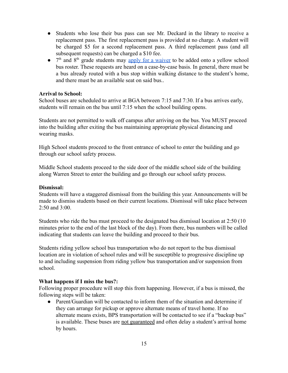- Students who lose their bus pass can see Mr. Deckard in the library to receive a replacement pass. The first replacement pass is provided at no charge. A student will be charged \$5 for a second replacement pass. A third replacement pass (and all subsequent requests) can be charged a \$10 fee.
- $\bullet$  7<sup>th</sup> and 8<sup>th</sup> grade students may apply for a [waiver](https://bostonpublicschoolshelp.freshdesk.com/support/tickets/new) to be added onto a yellow school bus roster. These requests are heard on a case-by-case basis. In general, there must be a bus already routed with a bus stop within walking distance to the student's home, and there must be an available seat on said bus..

#### **Arrival to School:**

School buses are scheduled to arrive at BGA between 7:15 and 7:30. If a bus arrives early, students will remain on the bus until 7:15 when the school building opens.

Students are not permitted to walk off campus after arriving on the bus. You MUST proceed into the building after exiting the bus maintaining appropriate physical distancing and wearing masks.

High School students proceed to the front entrance of school to enter the building and go through our school safety process.

Middle School students proceed to the side door of the middle school side of the building along Warren Street to enter the building and go through our school safety process.

#### **Dismissal:**

Students will have a staggered dismissal from the building this year. Announcements will be made to dismiss students based on their current locations. Dismissal will take place between 2:50 and 3:00.

Students who ride the bus must proceed to the designated bus dismissal location at 2:50 (10 minutes prior to the end of the last block of the day). From there, bus numbers will be called indicating that students can leave the building and proceed to their bus.

Students riding yellow school bus transportation who do not report to the bus dismissal location are in violation of school rules and will be susceptible to progressive discipline up to and including suspension from riding yellow bus transportation and/or suspension from school.

#### **What happens if I miss the bus?:**

Following proper procedure will stop this from happening. However, if a bus is missed, the following steps will be taken:

● Parent/Guardian will be contacted to inform them of the situation and determine if they can arrange for pickup or approve alternate means of travel home. If no alternate means exists, BPS transportation will be contacted to see if a "backup bus" is available. These buses are not guaranteed and often delay a student's arrival home by hours.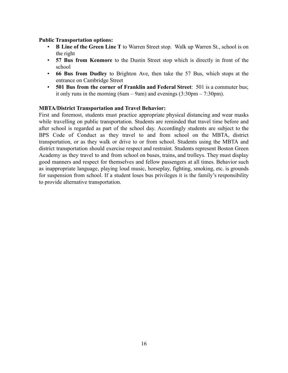#### **Public Transportation options:**

- **B Line of the Green Line T** to Warren Street stop. Walk up Warren St., school is on the right
- **57 Bus from Kenmore** to the Dustin Street stop which is directly in front of the school
- **66 Bus from Dudley** to Brighton Ave, then take the 57 Bus, which stops at the entrance on Cambridge Street
- **501 Bus from the corner of Franklin and Federal Street**: 501 is a commuter bus; it only runs in the morning (6am – 9am) and evenings  $(3:30 \text{pm} - 7:30 \text{pm})$ .

#### **MBTA/District Transportation and Travel Behavior:**

First and foremost, students must practice appropriate physical distancing and wear masks while travelling on public transportation. Students are reminded that travel time before and after school is regarded as part of the school day. Accordingly students are subject to the BPS Code of Conduct as they travel to and from school on the MBTA, district transportation, or as they walk or drive to or from school. Students using the MBTA and district transportation should exercise respect and restraint. Students represent Boston Green Academy as they travel to and from school on buses, trains, and trolleys. They must display good manners and respect for themselves and fellow passengers at all times. Behavior such as inappropriate language, playing loud music, horseplay, fighting, smoking, etc. is grounds for suspension from school. If a student loses bus privileges it is the family's responsibility to provide alternative transportation.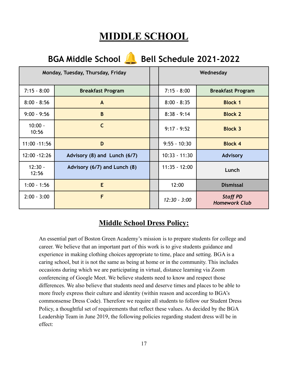# **MIDDLE SCHOOL**

| <b>BGA Middle School</b><br><b>Bell Schedule 2021-2022</b> |                              |  |                 |                                         |
|------------------------------------------------------------|------------------------------|--|-----------------|-----------------------------------------|
| Monday, Tuesday, Thursday, Friday                          |                              |  |                 | Wednesday                               |
| $7:15 - 8:00$                                              | <b>Breakfast Program</b>     |  | $7:15 - 8:00$   | <b>Breakfast Program</b>                |
| $8:00 - 8:56$                                              | $\mathsf{A}$                 |  | $8:00 - 8:35$   | <b>Block 1</b>                          |
| $9:00 - 9:56$                                              | B                            |  | $8:38 - 9:14$   | <b>Block 2</b>                          |
| $10:00 -$<br>10:56                                         | $\mathsf{C}$                 |  | $9:17 - 9:52$   | <b>Block 3</b>                          |
| 11:00 - 11:56                                              | D                            |  | $9:55 - 10:30$  | <b>Block 4</b>                          |
| 12:00 - 12:26                                              | Advisory (8) and Lunch (6/7) |  | $10:33 - 11:30$ | <b>Advisory</b>                         |
| $12:30 -$<br>12:56                                         | Advisory (6/7) and Lunch (8) |  | $11:35 - 12:00$ | Lunch                                   |
| $1:00 - 1:56$                                              | E                            |  | 12:00           | <b>Dismissal</b>                        |
| $2:00 - 3:00$                                              | F                            |  | $12:30 - 3:00$  | <b>Staff PD</b><br><b>Homework Club</b> |

# **Middle School Dress Policy:**

An essential part of Boston Green Academy's mission is to prepare students for college and career. We believe that an important part of this work is to give students guidance and experience in making clothing choices appropriate to time, place and setting. BGA is a caring school, but it is not the same as being at home or in the community. This includes occasions during which we are participating in virtual, distance learning via Zoom conferencing of Google Meet. We believe students need to know and respect those differences. We also believe that students need and deserve times and places to be able to more freely express their culture and identity (within reason and according to BGA's commonsense Dress Code). Therefore we require all students to follow our Student Dress Policy, a thoughtful set of requirements that reflect these values. As decided by the BGA Leadership Team in June 2019, the following policies regarding student dress will be in effect: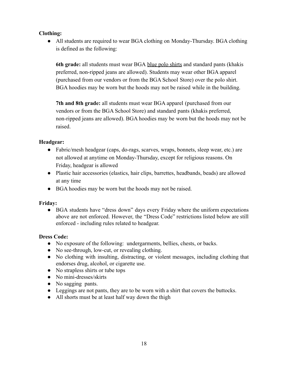## **Clothing:**

● All students are required to wear BGA clothing on Monday-Thursday. BGA clothing is defined as the following:

**6th grade:** all students must wear BGA blue polo shirts and standard pants (khakis preferred, non-ripped jeans are allowed). Students may wear other BGA apparel (purchased from our vendors or from the BGA School Store) over the polo shirt. BGA hoodies may be worn but the hoods may not be raised while in the building.

**7th and 8th grade:** all students must wear BGA apparel (purchased from our vendors or from the BGA School Store) and standard pants (khakis preferred, non-ripped jeans are allowed). BGA hoodies may be worn but the hoods may not be raised.

# **Headgear:**

- **●** Fabric/mesh headgear (caps, do-rags, scarves, wraps, bonnets, sleep wear, etc.) are not allowed at anytime on Monday-Thursday, except for religious reasons. On Friday, headgear is allowed
- Plastic hair accessories (elastics, hair clips, barrettes, headbands, beads) are allowed at any time
- BGA hoodies may be worn but the hoods may not be raised.

# **Friday:**

• BGA students have "dress down" days every Friday where the uniform expectations above are not enforced. However, the "Dress Code" restrictions listed below are still enforced - including rules related to headgear.

# **Dress Code:**

- No exposure of the following: undergarments, bellies, chests, or backs.
- No see-through, low-cut, or revealing clothing.
- No clothing with insulting, distracting, or violent messages, including clothing that endorses drug, alcohol, or cigarette use.
- No strapless shirts or tube tops
- No mini-dresses/skirts
- No sagging pants.
- Leggings are not pants, they are to be worn with a shirt that covers the buttocks.
- All shorts must be at least half way down the thigh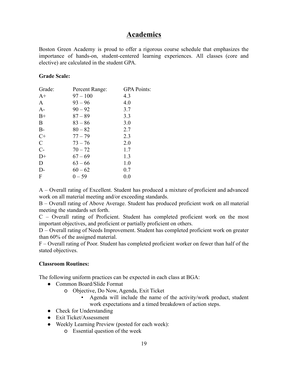# **Academics**

Boston Green Academy is proud to offer a rigorous course schedule that emphasizes the importance of hands-on, student-centered learning experiences. All classes (core and elective) are calculated in the student GPA.

#### **Grade Scale:**

| Grade:        | Percent Range: | <b>GPA Points:</b> |
|---------------|----------------|--------------------|
| $A+$          | $97 - 100$     | 4.3                |
| A             | $93 - 96$      | 4.0                |
| $A-$          | $90 - 92$      | 3.7                |
| $B+$          | $87 - 89$      | 3.3                |
| B             | $83 - 86$      | 3.0                |
| $B-$          | $80 - 82$      | 2.7                |
| $C+$          | $77 - 79$      | 2.3                |
| $\mathcal{C}$ | $73 - 76$      | 2.0                |
| $C-$          | $70 - 72$      | 1.7                |
| $D+$          | $67 - 69$      | 1.3                |
| D             | $63 - 66$      | 1.0                |
| $D-$          | $60 - 62$      | 0.7                |
| $\mathbf{F}$  | $0 - 59$       | 0.0                |

A – Overall rating of Excellent. Student has produced a mixture of proficient and advanced work on all material meeting and/or exceeding standards.

B – Overall rating of Above Average. Student has produced proficient work on all material meeting the standards set forth.

C – Overall rating of Proficient. Student has completed proficient work on the most important objectives, and proficient or partially proficient on others.

D – Overall rating of Needs Improvement. Student has completed proficient work on greater than 60% of the assigned material.

F – Overall rating of Poor. Student has completed proficient worker on fewer than half of the stated objectives.

## **Classroom Routines:**

The following uniform practices can be expected in each class at BGA:

- Common Board/Slide Format
	- o Objective, Do Now, Agenda, Exit Ticket
		- Agenda will include the name of the activity/work product, student work expectations and a timed breakdown of action steps.
- Check for Understanding
- Exit Ticket/Assessment
- Weekly Learning Preview (posted for each week):
	- o Essential question of the week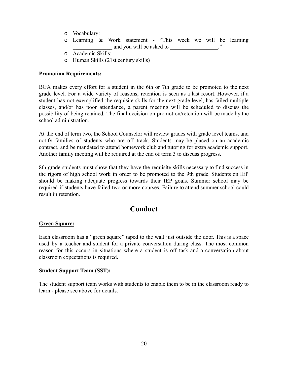- o Vocabulary:
- o Learning & Work statement "This week we will be learning and you will be asked to  $\therefore$
- o Academic Skills:
- o Human Skills (21st century skills)

#### **Promotion Requirements:**

BGA makes every effort for a student in the 6th or 7th grade to be promoted to the next grade level. For a wide variety of reasons, retention is seen as a last resort. However, if a student has not exemplified the requisite skills for the next grade level, has failed multiple classes, and/or has poor attendance, a parent meeting will be scheduled to discuss the possibility of being retained. The final decision on promotion/retention will be made by the school administration.

At the end of term two, the School Counselor will review grades with grade level teams, and notify families of students who are off track. Students may be placed on an academic contract, and be mandated to attend homework club and tutoring for extra academic support. Another family meeting will be required at the end of term 3 to discuss progress.

8th grade students must show that they have the requisite skills necessary to find success in the rigors of high school work in order to be promoted to the 9th grade. Students on IEP should be making adequate progress towards their IEP goals. Summer school may be required if students have failed two or more courses. Failure to attend summer school could result in retention.

# **Conduct**

#### **Green Square:**

Each classroom has a "green square" taped to the wall just outside the door. This is a space used by a teacher and student for a private conversation during class. The most common reason for this occurs in situations where a student is off task and a conversation about classroom expectations is required.

#### **Student Support Team (SST):**

The student support team works with students to enable them to be in the classroom ready to learn - please see above for details.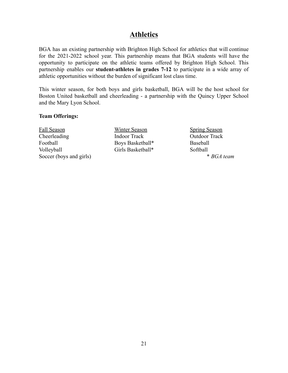# **Athletics**

BGA has an existing partnership with Brighton High School for athletics that will continue for the 2021-2022 school year. This partnership means that BGA students will have the opportunity to participate on the athletic teams offered by Brighton High School. This partnership enables our **student-athletes in grades 7-12** to participate in a wide array of athletic opportunities without the burden of significant lost class time.

This winter season, for both boys and girls basketball, BGA will be the host school for Boston United basketball and cheerleading - a partnership with the Quincy Upper School and the Mary Lyon School.

#### **Team Offerings:**

Fall Season Cheerleading Football Volleyball Soccer (boys and girls)

Winter Season Indoor Track Boys Basketball\* Girls Basketball\*

Spring Season Outdoor Track Baseball Softball \* *BGA team*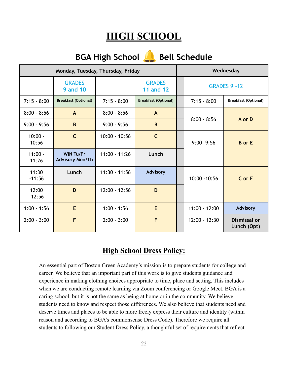# **HIGH SCHOOL**

| <b>Bell Schedule</b><br><b>BGA High School</b> |                                            |                 |                                   |                 |                             |
|------------------------------------------------|--------------------------------------------|-----------------|-----------------------------------|-----------------|-----------------------------|
| Monday, Tuesday, Thursday, Friday              |                                            |                 |                                   | Wednesday       |                             |
|                                                | <b>GRADES</b><br><b>9 and 10</b>           |                 | <b>GRADES</b><br><b>11 and 12</b> |                 | <b>GRADES 9 -12</b>         |
| $7:15 - 8:00$                                  | <b>Breakfast (Optional)</b>                | $7:15 - 8:00$   | <b>Breakfast (Optional)</b>       | $7:15 - 8:00$   | <b>Breakfast (Optional)</b> |
| $8:00 - 8:56$                                  | A                                          | $8:00 - 8:56$   | $\mathbf{A}$                      |                 |                             |
| $9:00 - 9:56$                                  | B                                          | $9:00 - 9:56$   | B                                 | $8:00 - 8:56$   | A or D                      |
| $10:00 -$<br>10:56                             | $\mathsf{C}$                               | $10:00 - 10:56$ | $\mathsf{C}$                      | $9:00 - 9:56$   | <b>B</b> or E               |
| $11:00 -$<br>11:26                             | <b>WIN Tu/Fr</b><br><b>Advisory Mon/Th</b> | $11:00 - 11:26$ | Lunch                             |                 |                             |
| 11:30<br>$-11:56$                              | Lunch                                      | $11:30 - 11:56$ | <b>Advisory</b>                   | 10:00 - 10:56   | C or F                      |
| 12:00<br>$-12:56$                              | D                                          | $12:00 - 12:56$ | D                                 |                 |                             |
| $1:00 - 1:56$                                  | E                                          | $1:00 - 1:56$   | E                                 | $11:00 - 12:00$ | <b>Advisory</b>             |
| $2:00 - 3:00$                                  | F                                          | $2:00 - 3:00$   | F                                 | $12:00 - 12:30$ | Dismissal or<br>Lunch (Opt) |

# **High School Dress Policy:**

An essential part of Boston Green Academy's mission is to prepare students for college and career. We believe that an important part of this work is to give students guidance and experience in making clothing choices appropriate to time, place and setting. This includes when we are conducting remote learning via Zoom conferencing or Google Meet. BGA is a caring school, but it is not the same as being at home or in the community. We believe students need to know and respect those differences. We also believe that students need and deserve times and places to be able to more freely express their culture and identity (within reason and according to BGA's commonsense Dress Code). Therefore we require all students to following our Student Dress Policy, a thoughtful set of requirements that reflect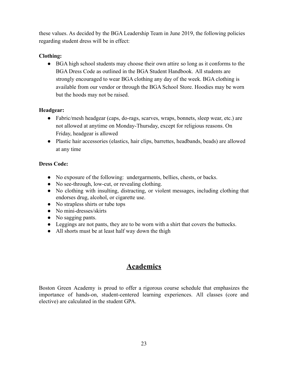these values. As decided by the BGA Leadership Team in June 2019, the following policies regarding student dress will be in effect:

# **Clothing:**

● BGA high school students may choose their own attire so long as it conforms to the BGA Dress Code as outlined in the BGA Student Handbook. All students are strongly encouraged to wear BGA clothing any day of the week. BGA clothing is available from our vendor or through the BGA School Store. Hoodies may be worn but the hoods may not be raised.

# **Headgear:**

- **●** Fabric/mesh headgear (caps, do-rags, scarves, wraps, bonnets, sleep wear, etc.) are not allowed at anytime on Monday-Thursday, except for religious reasons. On Friday, headgear is allowed
- Plastic hair accessories (elastics, hair clips, barrettes, headbands, beads) are allowed at any time

# **Dress Code:**

- No exposure of the following: undergarments, bellies, chests, or backs.
- No see-through, low-cut, or revealing clothing.
- No clothing with insulting, distracting, or violent messages, including clothing that endorses drug, alcohol, or cigarette use.
- No strapless shirts or tube tops
- No mini-dresses/skirts
- No sagging pants.
- Leggings are not pants, they are to be worn with a shirt that covers the buttocks.
- All shorts must be at least half way down the thigh

# **Academics**

Boston Green Academy is proud to offer a rigorous course schedule that emphasizes the importance of hands-on, student-centered learning experiences. All classes (core and elective) are calculated in the student GPA.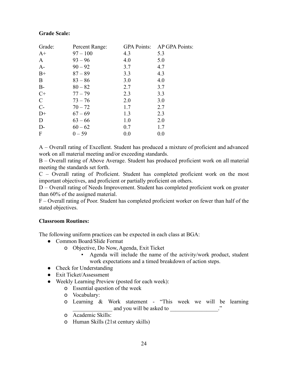## **Grade Scale:**

| Grade:        | Percent Range: | <b>GPA Points:</b> | AP GPA Points: |
|---------------|----------------|--------------------|----------------|
| $A+$          | $97 - 100$     | 4.3                | 5.3            |
| $\mathbf{A}$  | $93 - 96$      | 4.0                | 5.0            |
| $A-$          | $90 - 92$      | 3.7                | 4.7            |
| $B+$          | $87 - 89$      | 3.3                | 4.3            |
| B             | $83 - 86$      | 3.0                | 4.0            |
| $B-$          | $80 - 82$      | 2.7                | 3.7            |
| $C+$          | $77 - 79$      | 2.3                | 3.3            |
| $\mathcal{C}$ | $73 - 76$      | 2.0                | 3.0            |
| $C-$          | $70 - 72$      | 1.7                | 2.7            |
| $D+$          | $67 - 69$      | 1.3                | 2.3            |
| D             | $63 - 66$      | 1.0                | 2.0            |
| $D-$          | $60 - 62$      | 0.7                | 1.7            |
| F             | $0 - 59$       | 0.0                | 0.0            |

A – Overall rating of Excellent. Student has produced a mixture of proficient and advanced work on all material meeting and/or exceeding standards.

B – Overall rating of Above Average. Student has produced proficient work on all material meeting the standards set forth.

C – Overall rating of Proficient. Student has completed proficient work on the most important objectives, and proficient or partially proficient on others.

D – Overall rating of Needs Improvement. Student has completed proficient work on greater than 60% of the assigned material.

F – Overall rating of Poor. Student has completed proficient worker on fewer than half of the stated objectives.

## **Classroom Routines:**

The following uniform practices can be expected in each class at BGA:

- Common Board/Slide Format
	- o Objective, Do Now, Agenda, Exit Ticket
		- Agenda will include the name of the activity/work product, student work expectations and a timed breakdown of action steps.
- Check for Understanding
- Exit Ticket/Assessment
- Weekly Learning Preview (posted for each week):
	- o Essential question of the week
	- o Vocabulary:
	- o Learning & Work statement "This week we will be learning and you will be asked to \_\_\_\_\_\_\_\_\_\_\_\_\_\_\_."
	- o Academic Skills:
	- o Human Skills (21st century skills)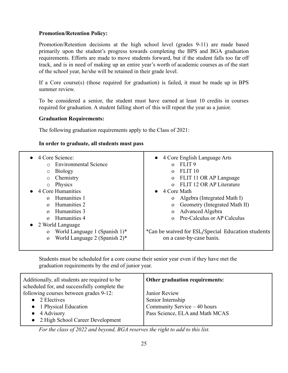#### **Promotion/Retention Policy:**

Promotion/Retention decisions at the high school level (grades 9-11) are made based primarily upon the student's progress towards completing the BPS and BGA graduation requirements. Efforts are made to move students forward, but if the student falls too far off track, and is in need of making up an entire year's worth of academic courses as of the start of the school year, he/she will be retained in their grade level.

If a Core course(s) (those required for graduation) is failed, it must be made up in BPS summer review.

To be considered a senior, the student must have earned at least 10 credits in courses required for graduation. A student falling short of this will repeat the year as a junior.

#### **Graduation Requirements:**

The following graduation requirements apply to the Class of 2021:

#### **In order to graduate, all students must pass**

| 4 Core English Language Arts<br>$\bullet$<br>FLIT <sub>9</sub><br>$\Omega$<br>FLIT <sub>10</sub><br>$\Omega$<br>FLIT 11 OR AP Language<br>$\mathbf{O}$<br>FLIT 12 OR AP Literature<br>$\Omega$<br>4 Core Math<br>$\bullet$<br>Algebra (Integrated Math I)<br>$\Omega$<br>Geometry (Integrated Math II)<br>$\mathbf{O}$<br>Advanced Algebra<br>$\mathbf{O}$<br>Pre-Calculus or AP Calculus<br>$\Omega$ |
|-------------------------------------------------------------------------------------------------------------------------------------------------------------------------------------------------------------------------------------------------------------------------------------------------------------------------------------------------------------------------------------------------------|
|                                                                                                                                                                                                                                                                                                                                                                                                       |
| *Can be waived for ESL/Special Education students<br>on a case-by-case basis.                                                                                                                                                                                                                                                                                                                         |
|                                                                                                                                                                                                                                                                                                                                                                                                       |

Students must be scheduled for a core course their senior year even if they have met the graduation requirements by the end of junior year.

| Additionally, all students are required to be<br>scheduled for, and successfully complete the | Other graduation requirements:  |
|-----------------------------------------------------------------------------------------------|---------------------------------|
| following courses between grades 9-12:                                                        | Junior Review                   |
| 2 Electives                                                                                   | Senior Internship               |
| • 1 Physical Education                                                                        | Community Service – 40 hours    |
| 4 Advisory                                                                                    | Pass Science, ELA and Math MCAS |
| • 2 High School Career Development                                                            |                                 |

*For the class of 2022 and beyond, BGA reserves the right to add to this list.*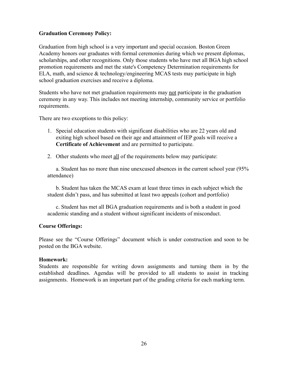#### **Graduation Ceremony Policy:**

Graduation from high school is a very important and special occasion. Boston Green Academy honors our graduates with formal ceremonies during which we present diplomas, scholarships, and other recognitions. Only those students who have met all BGA high school promotion requirements and met the state's Competency Determination requirements for ELA, math, and science & technology/engineering MCAS tests may participate in high school graduation exercises and receive a diploma.

Students who have not met graduation requirements may not participate in the graduation ceremony in any way. This includes not meeting internship, community service or portfolio requirements.

There are two exceptions to this policy:

- 1. Special education students with significant disabilities who are 22 years old and exiting high school based on their age and attainment of IEP goals will receive a **Certificate of Achievement** and are permitted to participate.
- 2. Other students who meet all of the requirements below may participate:

a. Student has no more than nine unexcused absences in the current school year (95% attendance)

b. Student has taken the MCAS exam at least three times in each subject which the student didn't pass, and has submitted at least two appeals (cohort and portfolio)

c. Student has met all BGA graduation requirements and is both a student in good academic standing and a student without significant incidents of misconduct.

#### **Course Offerings:**

Please see the "Course Offerings" document which is under construction and soon to be posted on the BGA website.

#### **Homework:**

Students are responsible for writing down assignments and turning them in by the established deadlines. Agendas will be provided to all students to assist in tracking assignments. Homework is an important part of the grading criteria for each marking term.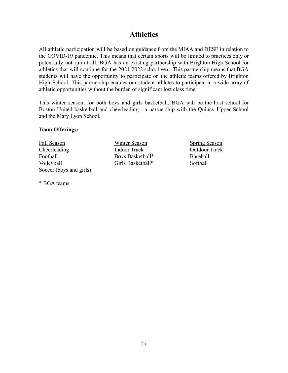# **Athletics**

All athletic participation will be based on guidance from the MIAA and DESE in relation to the COVID-19 pandemic. This means that certain sports will be limited to practices only or potentially not run at all. BGA has an existing partnership with Brighton High School for athletics that will continue for the 2021-2022 school year. This partnership means that BGA students will have the opportunity to participate on the athletic teams offered by Brighton High School. This partnership enables our student-athletes to participate in a wide array of athletic opportunities without the burden of significant lost class time.

This winter season, for both boys and girls basketball, BGA will be the host school for Boston United basketball and cheerleading - a partnership with the Quincy Upper School and the Mary Lyon School.

#### **Team Offerings:**

Fall Season Cheerleading Football Volleyball Soccer (boys and girls)

\* BGA teams

Winter Season Indoor Track Boys Basketball\* Girls Basketball\*

Spring Season Outdoor Track Baseball Softball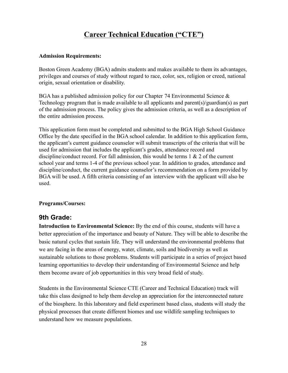# **Career Technical Education ("CTE")**

#### **Admission Requirements:**

Boston Green Academy (BGA) admits students and makes available to them its advantages, privileges and courses of study without regard to race, color, sex, religion or creed, national origin, sexual orientation or disability.

BGA has a published admission policy for our Chapter 74 Environmental Science & Technology program that is made available to all applicants and parent(s)/guardian(s) as part of the admission process. The policy gives the admission criteria, as well as a description of the entire admission process.

This application form must be completed and submitted to the BGA High School Guidance Office by the date specified in the BGA school calendar. In addition to this application form, the applicant's current guidance counselor will submit transcripts of the criteria that will be used for admission that includes the applicant's grades, attendance record and discipline/conduct record. For fall admission, this would be terms 1 & 2 of the current school year and terms 1-4 of the previous school year. In addition to grades, attendance and discipline/conduct, the current guidance counselor's recommendation on a form provided by BGA will be used. A fifth criteria consisting of an interview with the applicant will also be used.

## **Programs/Courses:**

## **9th Grade:**

**Introduction to Environmental Science:** By the end of this course, students will have a better appreciation of the importance and beauty of Nature. They will be able to describe the basic natural cycles that sustain life. They will understand the environmental problems that we are facing in the areas of energy, water, climate, soils and biodiversity as well as sustainable solutions to those problems. Students will participate in a series of project based learning opportunities to develop their understanding of Environmental Science and help them become aware of job opportunities in this very broad field of study.

Students in the Environmental Science CTE (Career and Technical Education) track will take this class designed to help them develop an appreciation for the interconnected nature of the biosphere. In this laboratory and field experiment based class, students will study the physical processes that create different biomes and use wildlife sampling techniques to understand how we measure populations.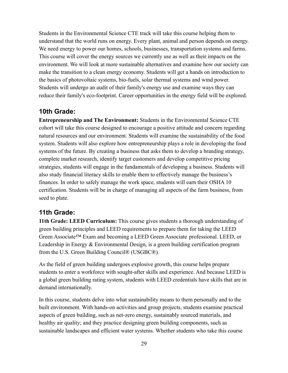Students in the Environmental Science CTE track will take this course helping them to understand that the world runs on energy. Every plant, animal and person depends on energy. We need energy to power our homes, schools, businesses, transportation systems and farms. This course will cover the energy sources we currently use as well as their impacts on the environment. We will look at more sustainable alternatives and examine how our society can make the transition to a clean energy economy. Students will get a hands on introduction to the basics of photovoltaic systems, bio-fuels, solar thermal systems and wind power. Students will undergo an audit of their family's energy use and examine ways they can reduce their family's eco-footprint. Career opportunities in the energy field will be explored.

## **10th Grade:**

**Entrepreneurship and The Environment:** Students in the Environmental Science CTE cohort will take this course designed to encourage a positive attitude and concern regarding natural resources and our environment. Students will examine the sustainability of the food system. Students will also explore how entrepreneurship plays a role in developing the food systems of the future. By creating a business that asks them to develop a branding strategy, complete market research, identify target customers and develop competitive pricing strategies, students will engage in the fundamentals of developing a business. Students will also study financial literacy skills to enable them to effectively manage the business's finances. In order to safely manage the work space, students will earn their OSHA 10 certification. Students will be in charge of managing all aspects of the farm business, from seed to plate.

## **11th Grade:**

**11th Grade: LEED Curriculum:** This course gives students a thorough understanding of green building principles and LEED requirements to prepare them for taking the LEED Green Associate™ Exam and becoming a LEED Green Associate professional. LEED, or Leadership in Energy & Environmental Design, is a green building certification program from the U.S. Green Building Council® (USGBC®).

As the field of green building undergoes explosive growth, this course helps prepare students to enter a workforce with sought-after skills and experience. And because LEED is a global green building rating system, students with LEED credentials have skills that are in demand internationally.

In this course, students delve into what sustainability means to them personally and to the built environment. With hands-on activities and group projects, students examine practical aspects of green building, such as net-zero energy, sustainably sourced materials, and healthy air quality; and they practice designing green building components, such as sustainable landscapes and efficient water systems. Whether students who take this course